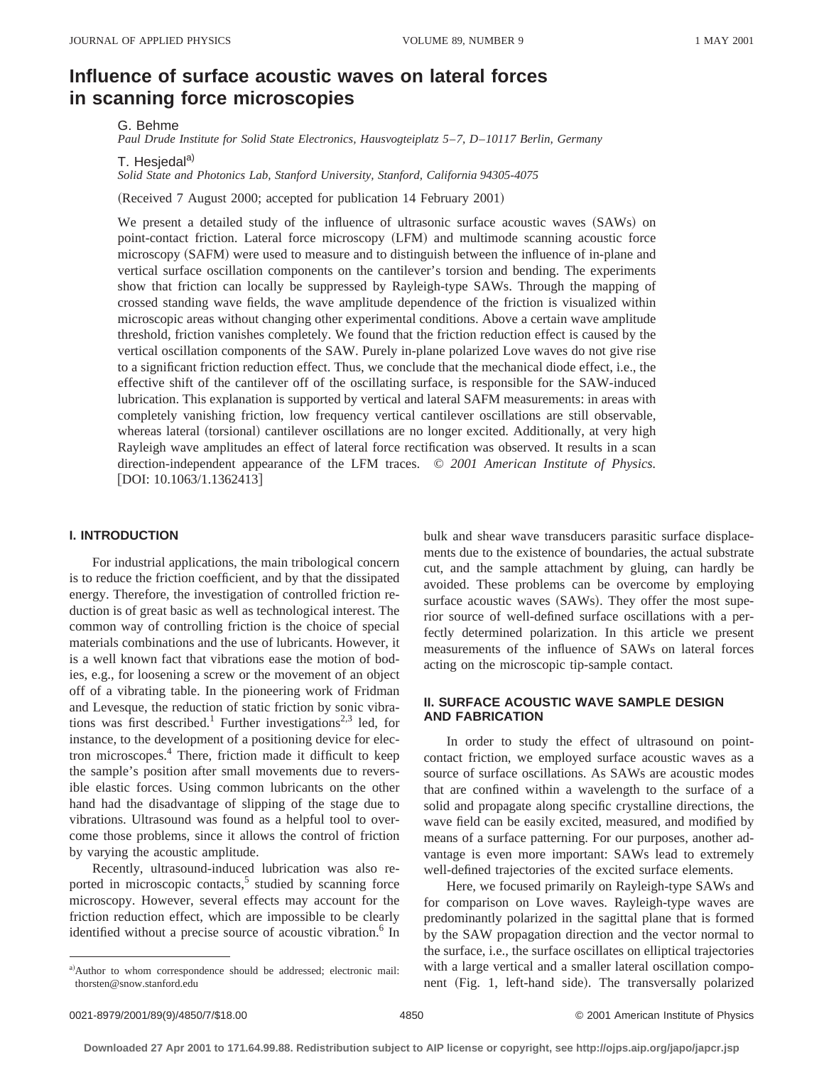# **Influence of surface acoustic waves on lateral forces in scanning force microscopies**

G. Behme

*Paul Drude Institute for Solid State Electronics, Hausvogteiplatz 5*–*7, D*–*10117 Berlin, Germany*

T. Hesjedal<sup>a)</sup>

*Solid State and Photonics Lab, Stanford University, Stanford, California 94305-4075*

(Received 7 August 2000; accepted for publication 14 February 2001)

We present a detailed study of the influence of ultrasonic surface acoustic waves (SAWs) on point-contact friction. Lateral force microscopy (LFM) and multimode scanning acoustic force microscopy (SAFM) were used to measure and to distinguish between the influence of in-plane and vertical surface oscillation components on the cantilever's torsion and bending. The experiments show that friction can locally be suppressed by Rayleigh-type SAWs. Through the mapping of crossed standing wave fields, the wave amplitude dependence of the friction is visualized within microscopic areas without changing other experimental conditions. Above a certain wave amplitude threshold, friction vanishes completely. We found that the friction reduction effect is caused by the vertical oscillation components of the SAW. Purely in-plane polarized Love waves do not give rise to a significant friction reduction effect. Thus, we conclude that the mechanical diode effect, i.e., the effective shift of the cantilever off of the oscillating surface, is responsible for the SAW-induced lubrication. This explanation is supported by vertical and lateral SAFM measurements: in areas with completely vanishing friction, low frequency vertical cantilever oscillations are still observable, whereas lateral (torsional) cantilever oscillations are no longer excited. Additionally, at very high Rayleigh wave amplitudes an effect of lateral force rectification was observed. It results in a scan direction-independent appearance of the LFM traces. © *2001 American Institute of Physics.* [DOI: 10.1063/1.1362413]

## **I. INTRODUCTION**

For industrial applications, the main tribological concern is to reduce the friction coefficient, and by that the dissipated energy. Therefore, the investigation of controlled friction reduction is of great basic as well as technological interest. The common way of controlling friction is the choice of special materials combinations and the use of lubricants. However, it is a well known fact that vibrations ease the motion of bodies, e.g., for loosening a screw or the movement of an object off of a vibrating table. In the pioneering work of Fridman and Levesque, the reduction of static friction by sonic vibrations was first described.<sup>1</sup> Further investigations<sup>2,3</sup> led, for instance, to the development of a positioning device for electron microscopes.4 There, friction made it difficult to keep the sample's position after small movements due to reversible elastic forces. Using common lubricants on the other hand had the disadvantage of slipping of the stage due to vibrations. Ultrasound was found as a helpful tool to overcome those problems, since it allows the control of friction by varying the acoustic amplitude.

Recently, ultrasound-induced lubrication was also reported in microscopic contacts, $5$  studied by scanning force microscopy. However, several effects may account for the friction reduction effect, which are impossible to be clearly identified without a precise source of acoustic vibration.<sup>6</sup> In bulk and shear wave transducers parasitic surface displacements due to the existence of boundaries, the actual substrate cut, and the sample attachment by gluing, can hardly be avoided. These problems can be overcome by employing surface acoustic waves (SAWs). They offer the most superior source of well-defined surface oscillations with a perfectly determined polarization. In this article we present measurements of the influence of SAWs on lateral forces acting on the microscopic tip-sample contact.

# **II. SURFACE ACOUSTIC WAVE SAMPLE DESIGN AND FABRICATION**

In order to study the effect of ultrasound on pointcontact friction, we employed surface acoustic waves as a source of surface oscillations. As SAWs are acoustic modes that are confined within a wavelength to the surface of a solid and propagate along specific crystalline directions, the wave field can be easily excited, measured, and modified by means of a surface patterning. For our purposes, another advantage is even more important: SAWs lead to extremely well-defined trajectories of the excited surface elements.

Here, we focused primarily on Rayleigh-type SAWs and for comparison on Love waves. Rayleigh-type waves are predominantly polarized in the sagittal plane that is formed by the SAW propagation direction and the vector normal to the surface, i.e., the surface oscillates on elliptical trajectories with a large vertical and a smaller lateral oscillation component (Fig. 1, left-hand side). The transversally polarized

a)Author to whom correspondence should be addressed; electronic mail: thorsten@snow.stanford.edu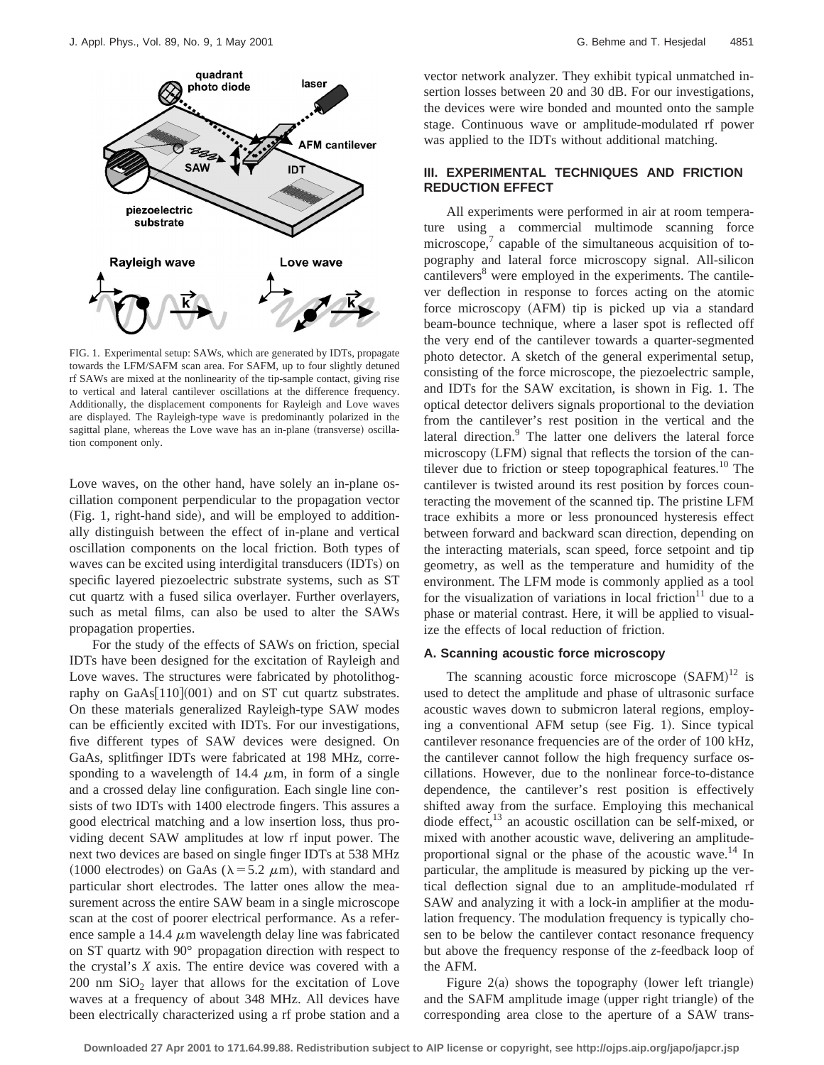

FIG. 1. Experimental setup: SAWs, which are generated by IDTs, propagate towards the LFM/SAFM scan area. For SAFM, up to four slightly detuned rf SAWs are mixed at the nonlinearity of the tip-sample contact, giving rise to vertical and lateral cantilever oscillations at the difference frequency. Additionally, the displacement components for Rayleigh and Love waves are displayed. The Rayleigh-type wave is predominantly polarized in the sagittal plane, whereas the Love wave has an in-plane (transverse) oscillation component only.

Love waves, on the other hand, have solely an in-plane oscillation component perpendicular to the propagation vector (Fig. 1, right-hand side), and will be employed to additionally distinguish between the effect of in-plane and vertical oscillation components on the local friction. Both types of waves can be excited using interdigital transducers (IDTs) on specific layered piezoelectric substrate systems, such as ST cut quartz with a fused silica overlayer. Further overlayers, such as metal films, can also be used to alter the SAWs propagation properties.

For the study of the effects of SAWs on friction, special IDTs have been designed for the excitation of Rayleigh and Love waves. The structures were fabricated by photolithography on  $GaAs[110](001)$  and on ST cut quartz substrates. On these materials generalized Rayleigh-type SAW modes can be efficiently excited with IDTs. For our investigations, five different types of SAW devices were designed. On GaAs, splitfinger IDTs were fabricated at 198 MHz, corresponding to a wavelength of 14.4  $\mu$ m, in form of a single and a crossed delay line configuration. Each single line consists of two IDTs with 1400 electrode fingers. This assures a good electrical matching and a low insertion loss, thus providing decent SAW amplitudes at low rf input power. The next two devices are based on single finger IDTs at 538 MHz (1000 electrodes) on GaAs ( $\lambda$ =5.2  $\mu$ m), with standard and particular short electrodes. The latter ones allow the measurement across the entire SAW beam in a single microscope scan at the cost of poorer electrical performance. As a reference sample a 14.4  $\mu$ m wavelength delay line was fabricated on ST quartz with 90° propagation direction with respect to the crystal's *X* axis. The entire device was covered with a  $200$  nm  $SiO<sub>2</sub>$  layer that allows for the excitation of Love waves at a frequency of about 348 MHz. All devices have been electrically characterized using a rf probe station and a vector network analyzer. They exhibit typical unmatched insertion losses between 20 and 30 dB. For our investigations, the devices were wire bonded and mounted onto the sample stage. Continuous wave or amplitude-modulated rf power was applied to the IDTs without additional matching.

## **III. EXPERIMENTAL TECHNIQUES AND FRICTION REDUCTION EFFECT**

All experiments were performed in air at room temperature using a commercial multimode scanning force microscope, $\frac{7}{1}$  capable of the simultaneous acquisition of topography and lateral force microscopy signal. All-silicon cantilevers<sup>8</sup> were employed in the experiments. The cantilever deflection in response to forces acting on the atomic force microscopy (AFM) tip is picked up via a standard beam-bounce technique, where a laser spot is reflected off the very end of the cantilever towards a quarter-segmented photo detector. A sketch of the general experimental setup, consisting of the force microscope, the piezoelectric sample, and IDTs for the SAW excitation, is shown in Fig. 1. The optical detector delivers signals proportional to the deviation from the cantilever's rest position in the vertical and the lateral direction.<sup>9</sup> The latter one delivers the lateral force  $microscopy$  (LFM) signal that reflects the torsion of the cantilever due to friction or steep topographical features.<sup>10</sup> The cantilever is twisted around its rest position by forces counteracting the movement of the scanned tip. The pristine LFM trace exhibits a more or less pronounced hysteresis effect between forward and backward scan direction, depending on the interacting materials, scan speed, force setpoint and tip geometry, as well as the temperature and humidity of the environment. The LFM mode is commonly applied as a tool for the visualization of variations in local friction $11$  due to a phase or material contrast. Here, it will be applied to visualize the effects of local reduction of friction.

#### **A. Scanning acoustic force microscopy**

The scanning acoustic force microscope  $(SAFM)^{12}$  is used to detect the amplitude and phase of ultrasonic surface acoustic waves down to submicron lateral regions, employing a conventional AFM setup (see Fig. 1). Since typical cantilever resonance frequencies are of the order of 100 kHz, the cantilever cannot follow the high frequency surface oscillations. However, due to the nonlinear force-to-distance dependence, the cantilever's rest position is effectively shifted away from the surface. Employing this mechanical diode effect, $^{13}$  an acoustic oscillation can be self-mixed, or mixed with another acoustic wave, delivering an amplitudeproportional signal or the phase of the acoustic wave.<sup>14</sup> In particular, the amplitude is measured by picking up the vertical deflection signal due to an amplitude-modulated rf SAW and analyzing it with a lock-in amplifier at the modulation frequency. The modulation frequency is typically chosen to be below the cantilever contact resonance frequency but above the frequency response of the *z*-feedback loop of the AFM.

Figure  $2(a)$  shows the topography (lower left triangle) and the SAFM amplitude image (upper right triangle) of the corresponding area close to the aperture of a SAW trans-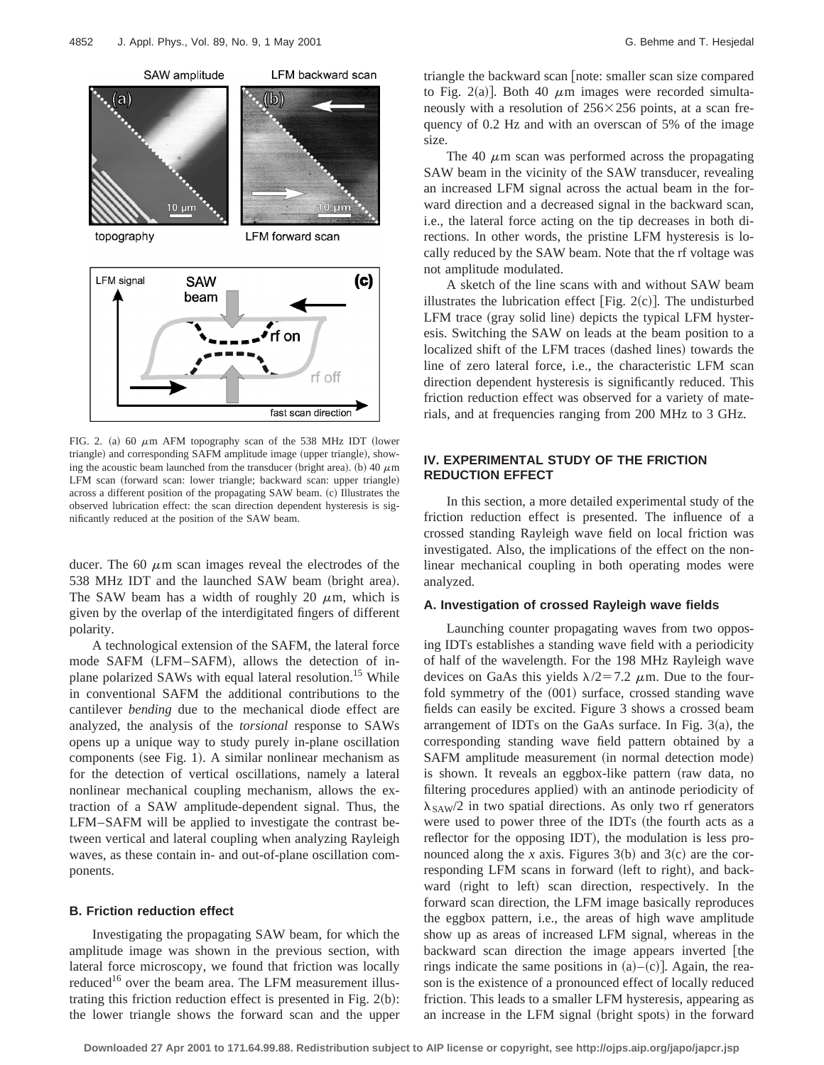

FIG. 2. (a) 60  $\mu$ m AFM topography scan of the 538 MHz IDT (lower triangle) and corresponding SAFM amplitude image (upper triangle), showing the acoustic beam launched from the transducer (bright area). (b) 40  $\mu$ m LFM scan (forward scan: lower triangle; backward scan: upper triangle) across a different position of the propagating SAW beam. (c) Illustrates the observed lubrication effect: the scan direction dependent hysteresis is significantly reduced at the position of the SAW beam.

ducer. The 60  $\mu$ m scan images reveal the electrodes of the 538 MHz IDT and the launched SAW beam (bright area). The SAW beam has a width of roughly 20  $\mu$ m, which is given by the overlap of the interdigitated fingers of different polarity.

A technological extension of the SAFM, the lateral force mode SAFM (LFM–SAFM), allows the detection of inplane polarized SAWs with equal lateral resolution.<sup>15</sup> While in conventional SAFM the additional contributions to the cantilever *bending* due to the mechanical diode effect are analyzed, the analysis of the *torsional* response to SAWs opens up a unique way to study purely in-plane oscillation components (see Fig. 1). A similar nonlinear mechanism as for the detection of vertical oscillations, namely a lateral nonlinear mechanical coupling mechanism, allows the extraction of a SAW amplitude-dependent signal. Thus, the LFM–SAFM will be applied to investigate the contrast between vertical and lateral coupling when analyzing Rayleigh waves, as these contain in- and out-of-plane oscillation components.

#### **B. Friction reduction effect**

Investigating the propagating SAW beam, for which the amplitude image was shown in the previous section, with lateral force microscopy, we found that friction was locally reduced<sup>16</sup> over the beam area. The LFM measurement illustrating this friction reduction effect is presented in Fig.  $2(b)$ : the lower triangle shows the forward scan and the upper triangle the backward scan [note: smaller scan size compared to Fig. 2(a)]. Both 40  $\mu$ m images were recorded simultaneously with a resolution of  $256\times256$  points, at a scan frequency of 0.2 Hz and with an overscan of 5% of the image size.

The 40  $\mu$ m scan was performed across the propagating SAW beam in the vicinity of the SAW transducer, revealing an increased LFM signal across the actual beam in the forward direction and a decreased signal in the backward scan, i.e., the lateral force acting on the tip decreases in both directions. In other words, the pristine LFM hysteresis is locally reduced by the SAW beam. Note that the rf voltage was not amplitude modulated.

A sketch of the line scans with and without SAW beam illustrates the lubrication effect [Fig.  $2(c)$ ]. The undisturbed LFM trace (gray solid line) depicts the typical LFM hysteresis. Switching the SAW on leads at the beam position to a localized shift of the LFM traces (dashed lines) towards the line of zero lateral force, i.e., the characteristic LFM scan direction dependent hysteresis is significantly reduced. This friction reduction effect was observed for a variety of materials, and at frequencies ranging from 200 MHz to 3 GHz.

## **IV. EXPERIMENTAL STUDY OF THE FRICTION REDUCTION EFFECT**

In this section, a more detailed experimental study of the friction reduction effect is presented. The influence of a crossed standing Rayleigh wave field on local friction was investigated. Also, the implications of the effect on the nonlinear mechanical coupling in both operating modes were analyzed.

# **A. Investigation of crossed Rayleigh wave fields**

Launching counter propagating waves from two opposing IDTs establishes a standing wave field with a periodicity of half of the wavelength. For the 198 MHz Rayleigh wave devices on GaAs this yields  $\lambda/2=7.2$   $\mu$ m. Due to the fourfold symmetry of the  $(001)$  surface, crossed standing wave fields can easily be excited. Figure 3 shows a crossed beam arrangement of IDTs on the GaAs surface. In Fig.  $3(a)$ , the corresponding standing wave field pattern obtained by a SAFM amplitude measurement (in normal detection mode) is shown. It reveals an eggbox-like pattern (raw data, no filtering procedures applied) with an antinode periodicity of  $\lambda_{\text{SAW}}/2$  in two spatial directions. As only two rf generators were used to power three of the IDTs (the fourth acts as a reflector for the opposing IDT), the modulation is less pronounced along the *x* axis. Figures  $3(b)$  and  $3(c)$  are the corresponding LFM scans in forward (left to right), and backward (right to left) scan direction, respectively. In the forward scan direction, the LFM image basically reproduces the eggbox pattern, i.e., the areas of high wave amplitude show up as areas of increased LFM signal, whereas in the backward scan direction the image appears inverted the rings indicate the same positions in  $(a)$ – $(c)$ ]. Again, the reason is the existence of a pronounced effect of locally reduced friction. This leads to a smaller LFM hysteresis, appearing as an increase in the LFM signal (bright spots) in the forward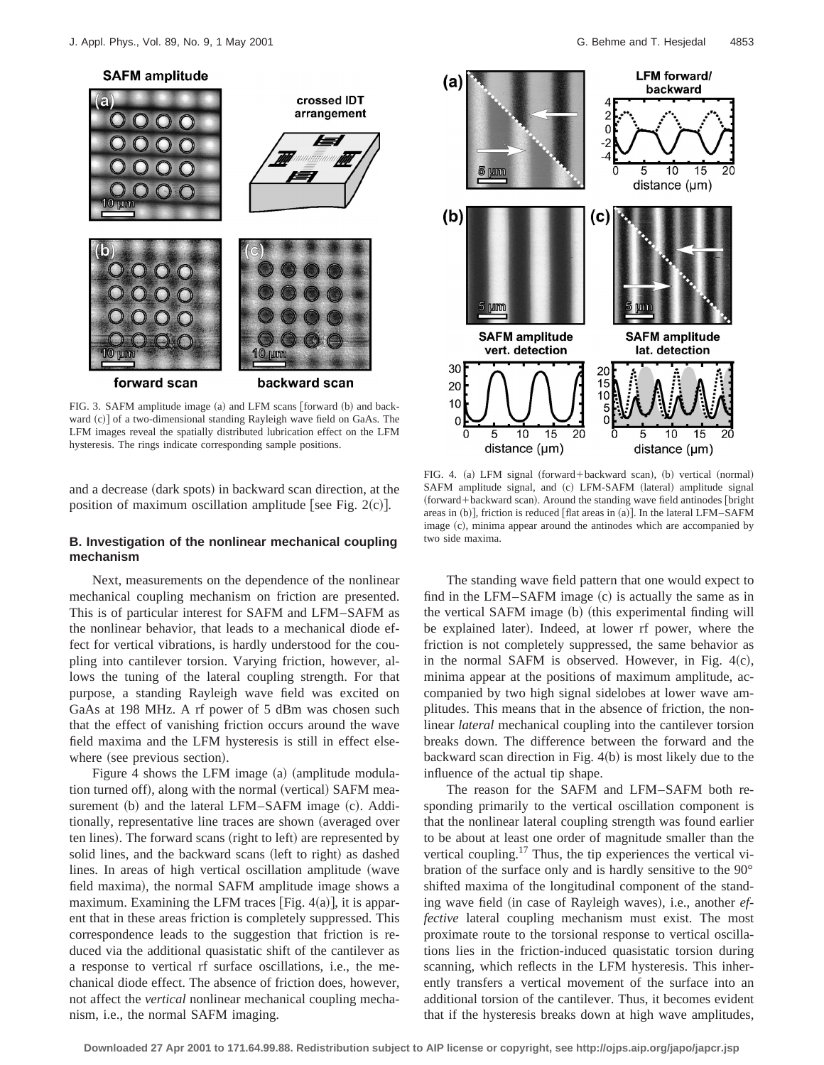

ward  $(c)$ ] of a two-dimensional standing Rayleigh wave field on GaAs. The LFM images reveal the spatially distributed lubrication effect on the LFM hysteresis. The rings indicate corresponding sample positions.

and a decrease (dark spots) in backward scan direction, at the position of maximum oscillation amplitude [see Fig.  $2(c)$ ].

## **B. Investigation of the nonlinear mechanical coupling mechanism**

Next, measurements on the dependence of the nonlinear mechanical coupling mechanism on friction are presented. This is of particular interest for SAFM and LFM–SAFM as the nonlinear behavior, that leads to a mechanical diode effect for vertical vibrations, is hardly understood for the coupling into cantilever torsion. Varying friction, however, allows the tuning of the lateral coupling strength. For that purpose, a standing Rayleigh wave field was excited on GaAs at 198 MHz. A rf power of 5 dBm was chosen such that the effect of vanishing friction occurs around the wave field maxima and the LFM hysteresis is still in effect elsewhere (see previous section).

Figure 4 shows the LFM image  $(a)$  (amplitude modulation turned off), along with the normal (vertical) SAFM measurement (b) and the lateral LFM–SAFM image (c). Additionally, representative line traces are shown (averaged over ten lines). The forward scans (right to left) are represented by solid lines, and the backward scans (left to right) as dashed lines. In areas of high vertical oscillation amplitude (wave field maxima), the normal SAFM amplitude image shows a maximum. Examining the LFM traces [Fig.  $4(a)$ ], it is apparent that in these areas friction is completely suppressed. This correspondence leads to the suggestion that friction is reduced via the additional quasistatic shift of the cantilever as a response to vertical rf surface oscillations, i.e., the mechanical diode effect. The absence of friction does, however, not affect the *vertical* nonlinear mechanical coupling mechanism, i.e., the normal SAFM imaging.



FIG. 4. (a) LFM signal (forward+backward scan), (b) vertical (normal) SAFM amplitude signal, and (c) LFM-SAFM (lateral) amplitude signal  $forward + backward scan$ . Around the standing wave field antinodes  $[bright]$ areas in  $(b)$ ], friction is reduced [flat areas in  $(a)$ ]. In the lateral LFM–SAFM image (c), minima appear around the antinodes which are accompanied by two side maxima.

The standing wave field pattern that one would expect to find in the LFM–SAFM image  $(c)$  is actually the same as in the vertical SAFM image (b) (this experimental finding will be explained later). Indeed, at lower rf power, where the friction is not completely suppressed, the same behavior as in the normal SAFM is observed. However, in Fig.  $4(c)$ , minima appear at the positions of maximum amplitude, accompanied by two high signal sidelobes at lower wave amplitudes. This means that in the absence of friction, the nonlinear *lateral* mechanical coupling into the cantilever torsion breaks down. The difference between the forward and the backward scan direction in Fig.  $4(b)$  is most likely due to the influence of the actual tip shape.

The reason for the SAFM and LFM–SAFM both responding primarily to the vertical oscillation component is that the nonlinear lateral coupling strength was found earlier to be about at least one order of magnitude smaller than the vertical coupling.17 Thus, the tip experiences the vertical vibration of the surface only and is hardly sensitive to the 90° shifted maxima of the longitudinal component of the standing wave field (in case of Rayleigh waves), i.e., another *effective* lateral coupling mechanism must exist. The most proximate route to the torsional response to vertical oscillations lies in the friction-induced quasistatic torsion during scanning, which reflects in the LFM hysteresis. This inherently transfers a vertical movement of the surface into an additional torsion of the cantilever. Thus, it becomes evident that if the hysteresis breaks down at high wave amplitudes,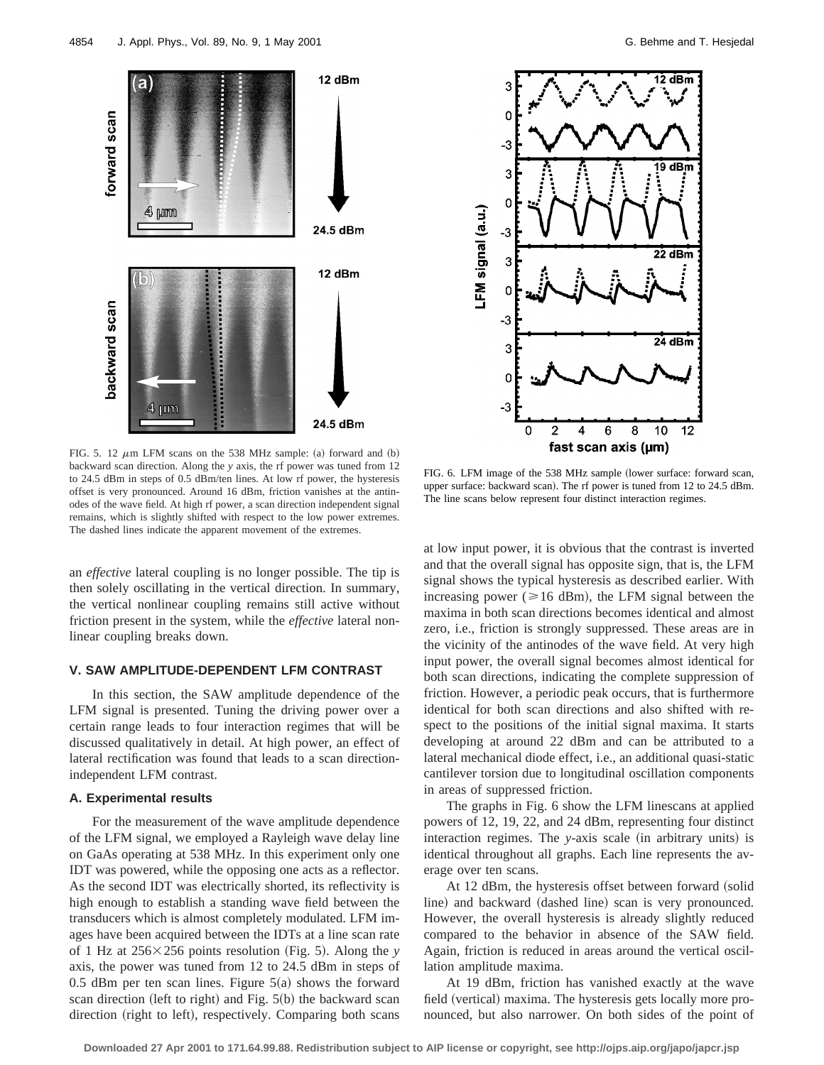



FIG. 5. 12  $\mu$ m LFM scans on the 538 MHz sample: (a) forward and (b) backward scan direction. Along the *y* axis, the rf power was tuned from 12 to 24.5 dBm in steps of 0.5 dBm/ten lines. At low rf power, the hysteresis offset is very pronounced. Around 16 dBm, friction vanishes at the antinodes of the wave field. At high rf power, a scan direction independent signal remains, which is slightly shifted with respect to the low power extremes. The dashed lines indicate the apparent movement of the extremes.

an *effective* lateral coupling is no longer possible. The tip is then solely oscillating in the vertical direction. In summary, the vertical nonlinear coupling remains still active without friction present in the system, while the *effective* lateral nonlinear coupling breaks down.

## **V. SAW AMPLITUDE-DEPENDENT LFM CONTRAST**

In this section, the SAW amplitude dependence of the LFM signal is presented. Tuning the driving power over a certain range leads to four interaction regimes that will be discussed qualitatively in detail. At high power, an effect of lateral rectification was found that leads to a scan directionindependent LFM contrast.

## **A. Experimental results**

For the measurement of the wave amplitude dependence of the LFM signal, we employed a Rayleigh wave delay line on GaAs operating at 538 MHz. In this experiment only one IDT was powered, while the opposing one acts as a reflector. As the second IDT was electrically shorted, its reflectivity is high enough to establish a standing wave field between the transducers which is almost completely modulated. LFM images have been acquired between the IDTs at a line scan rate of 1 Hz at  $256\times256$  points resolution (Fig. 5). Along the *y* axis, the power was tuned from 12 to 24.5 dBm in steps of 0.5 dBm per ten scan lines. Figure  $5(a)$  shows the forward scan direction (left to right) and Fig.  $5(b)$  the backward scan direction (right to left), respectively. Comparing both scans

FIG. 6. LFM image of the 538 MHz sample (lower surface: forward scan, upper surface: backward scan). The rf power is tuned from 12 to 24.5 dBm. The line scans below represent four distinct interaction regimes.

at low input power, it is obvious that the contrast is inverted and that the overall signal has opposite sign, that is, the LFM signal shows the typical hysteresis as described earlier. With increasing power ( $\geq 16$  dBm), the LFM signal between the maxima in both scan directions becomes identical and almost zero, i.e., friction is strongly suppressed. These areas are in the vicinity of the antinodes of the wave field. At very high input power, the overall signal becomes almost identical for both scan directions, indicating the complete suppression of friction. However, a periodic peak occurs, that is furthermore identical for both scan directions and also shifted with respect to the positions of the initial signal maxima. It starts developing at around 22 dBm and can be attributed to a lateral mechanical diode effect, i.e., an additional quasi-static cantilever torsion due to longitudinal oscillation components in areas of suppressed friction.

The graphs in Fig. 6 show the LFM linescans at applied powers of 12, 19, 22, and 24 dBm, representing four distinct interaction regimes. The *y*-axis scale (in arbitrary units) is identical throughout all graphs. Each line represents the average over ten scans.

At 12 dBm, the hysteresis offset between forward (solid line) and backward (dashed line) scan is very pronounced. However, the overall hysteresis is already slightly reduced compared to the behavior in absence of the SAW field. Again, friction is reduced in areas around the vertical oscillation amplitude maxima.

At 19 dBm, friction has vanished exactly at the wave field (vertical) maxima. The hysteresis gets locally more pronounced, but also narrower. On both sides of the point of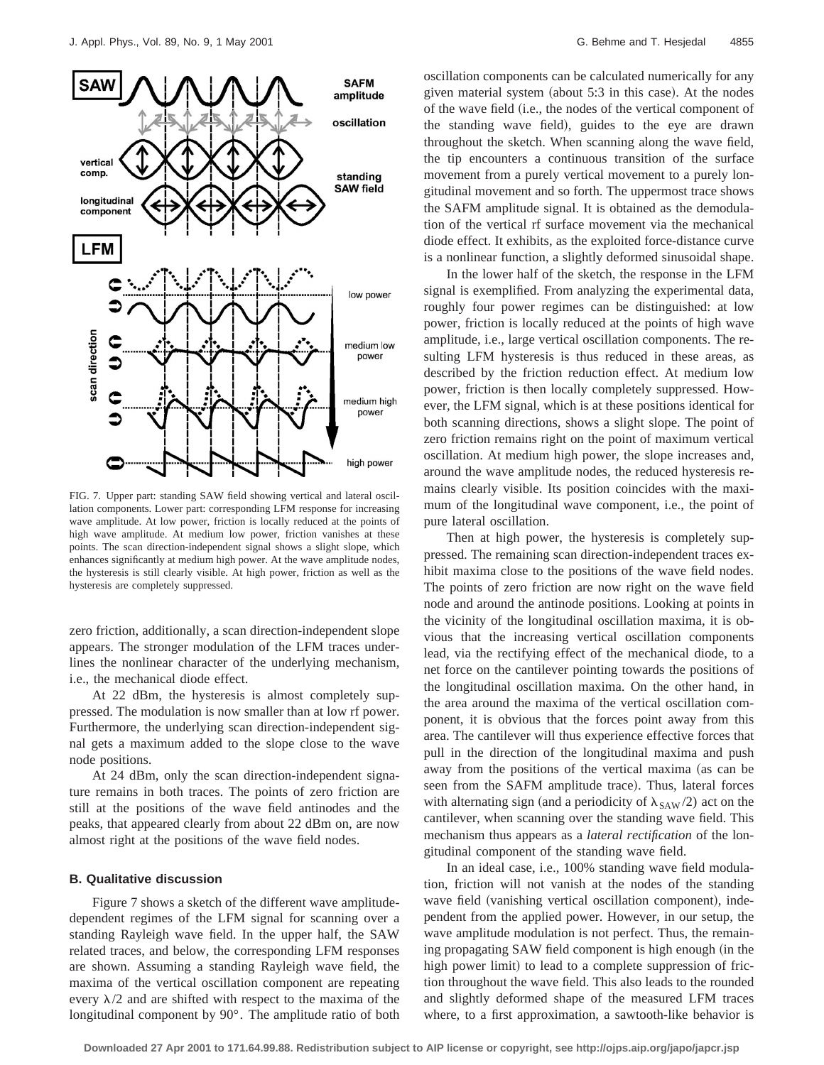

FIG. 7. Upper part: standing SAW field showing vertical and lateral oscillation components. Lower part: corresponding LFM response for increasing wave amplitude. At low power, friction is locally reduced at the points of high wave amplitude. At medium low power, friction vanishes at these points. The scan direction-independent signal shows a slight slope, which enhances significantly at medium high power. At the wave amplitude nodes, the hysteresis is still clearly visible. At high power, friction as well as the hysteresis are completely suppressed.

zero friction, additionally, a scan direction-independent slope appears. The stronger modulation of the LFM traces underlines the nonlinear character of the underlying mechanism, i.e., the mechanical diode effect.

At 22 dBm, the hysteresis is almost completely suppressed. The modulation is now smaller than at low rf power. Furthermore, the underlying scan direction-independent signal gets a maximum added to the slope close to the wave node positions.

At 24 dBm, only the scan direction-independent signature remains in both traces. The points of zero friction are still at the positions of the wave field antinodes and the peaks, that appeared clearly from about 22 dBm on, are now almost right at the positions of the wave field nodes.

#### **B. Qualitative discussion**

Figure 7 shows a sketch of the different wave amplitudedependent regimes of the LFM signal for scanning over a standing Rayleigh wave field. In the upper half, the SAW related traces, and below, the corresponding LFM responses are shown. Assuming a standing Rayleigh wave field, the maxima of the vertical oscillation component are repeating every  $\lambda/2$  and are shifted with respect to the maxima of the longitudinal component by 90°. The amplitude ratio of both oscillation components can be calculated numerically for any given material system (about  $5:3$  in this case). At the nodes of the wave field (i.e., the nodes of the vertical component of the standing wave field), guides to the eye are drawn throughout the sketch. When scanning along the wave field, the tip encounters a continuous transition of the surface movement from a purely vertical movement to a purely longitudinal movement and so forth. The uppermost trace shows the SAFM amplitude signal. It is obtained as the demodulation of the vertical rf surface movement via the mechanical diode effect. It exhibits, as the exploited force-distance curve is a nonlinear function, a slightly deformed sinusoidal shape.

In the lower half of the sketch, the response in the LFM signal is exemplified. From analyzing the experimental data, roughly four power regimes can be distinguished: at low power, friction is locally reduced at the points of high wave amplitude, i.e., large vertical oscillation components. The resulting LFM hysteresis is thus reduced in these areas, as described by the friction reduction effect. At medium low power, friction is then locally completely suppressed. However, the LFM signal, which is at these positions identical for both scanning directions, shows a slight slope. The point of zero friction remains right on the point of maximum vertical oscillation. At medium high power, the slope increases and, around the wave amplitude nodes, the reduced hysteresis remains clearly visible. Its position coincides with the maximum of the longitudinal wave component, i.e., the point of pure lateral oscillation.

Then at high power, the hysteresis is completely suppressed. The remaining scan direction-independent traces exhibit maxima close to the positions of the wave field nodes. The points of zero friction are now right on the wave field node and around the antinode positions. Looking at points in the vicinity of the longitudinal oscillation maxima, it is obvious that the increasing vertical oscillation components lead, via the rectifying effect of the mechanical diode, to a net force on the cantilever pointing towards the positions of the longitudinal oscillation maxima. On the other hand, in the area around the maxima of the vertical oscillation component, it is obvious that the forces point away from this area. The cantilever will thus experience effective forces that pull in the direction of the longitudinal maxima and push away from the positions of the vertical maxima (as can be seen from the SAFM amplitude trace). Thus, lateral forces with alternating sign (and a periodicity of  $\lambda_{SAW}$ /2) act on the cantilever, when scanning over the standing wave field. This mechanism thus appears as a *lateral rectification* of the longitudinal component of the standing wave field.

In an ideal case, i.e., 100% standing wave field modulation, friction will not vanish at the nodes of the standing wave field (vanishing vertical oscillation component), independent from the applied power. However, in our setup, the wave amplitude modulation is not perfect. Thus, the remaining propagating SAW field component is high enough (in the high power limit) to lead to a complete suppression of friction throughout the wave field. This also leads to the rounded and slightly deformed shape of the measured LFM traces where, to a first approximation, a sawtooth-like behavior is